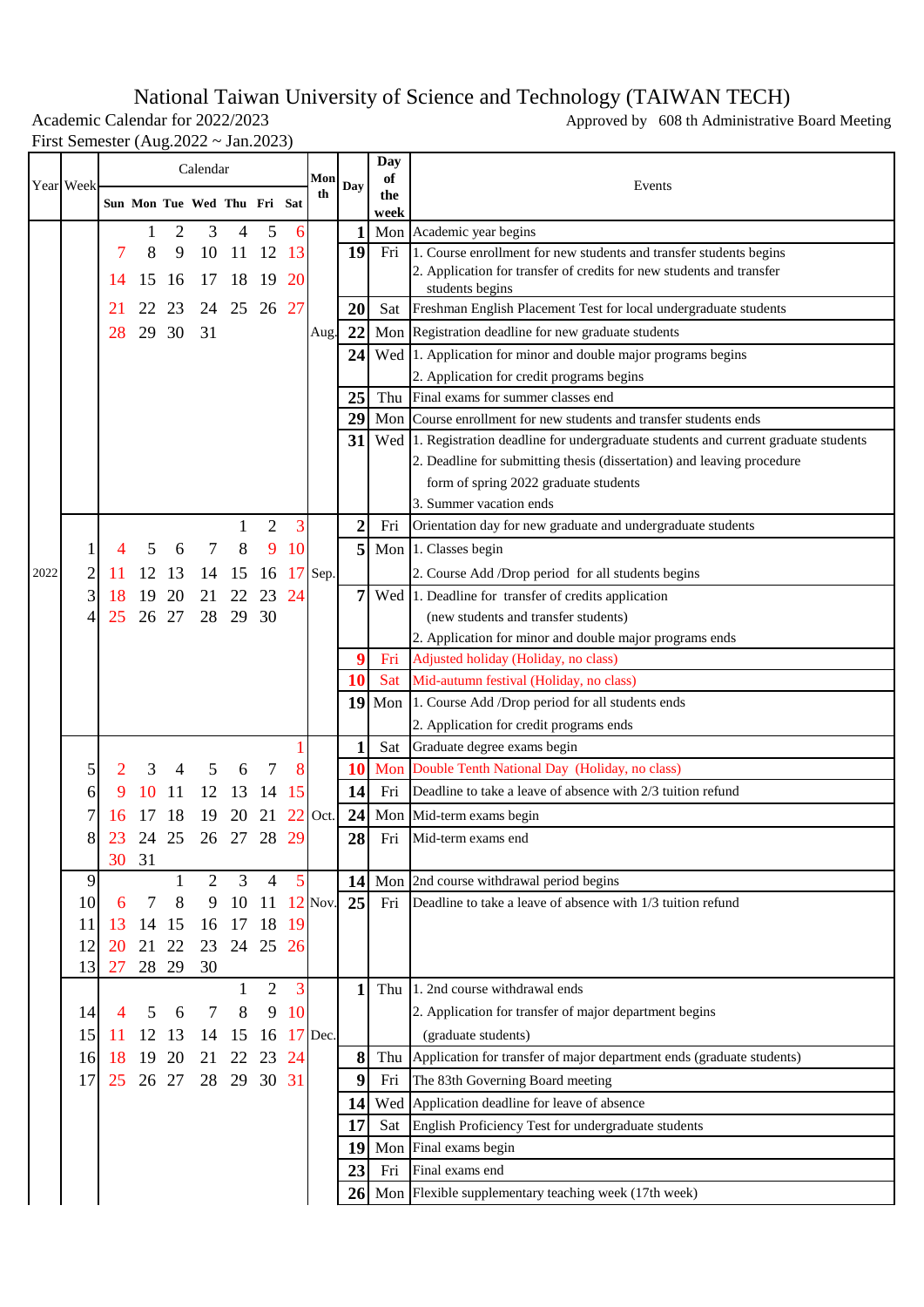## National Taiwan University of Science and Technology (TAIWAN TECH)

First Semester (Aug.2022 ~ Jan.2023)

Academic Calendar for 2022/2023 Approved by 608 th Administrative Board Meeting

|      | Year Week |           |       |     | Calendar                    |                   |                     |           | Mon       |                  | Day<br>of  |                                                                                                            |
|------|-----------|-----------|-------|-----|-----------------------------|-------------------|---------------------|-----------|-----------|------------------|------------|------------------------------------------------------------------------------------------------------------|
|      |           |           |       |     | Sun Mon Tue Wed Thu Fri Sat |                   |                     |           | th        | Day              | the        | Events                                                                                                     |
|      |           |           | 1     | 2   | 3                           | 4                 | 5                   | 6         |           | 1                | week       | Mon Academic year begins                                                                                   |
|      |           |           | 8     | 9   | 10                          | 11                | -12                 | 13        |           | 19               | Fri        | 1. Course enrollment for new students and transfer students begins                                         |
|      |           |           | 15    | -16 | 17                          | 18                | 19                  | <b>20</b> |           |                  |            | 2. Application for transfer of credits for new students and transfer                                       |
|      |           |           |       |     |                             |                   | 26 27               |           |           |                  |            | students begins                                                                                            |
|      |           |           |       | 23  | 24                          | 25                |                     |           |           | 20               |            | Sat Freshman English Placement Test for local undergraduate students                                       |
|      |           | 28        | 29 30 |     | 31                          |                   |                     |           | Aug.      | 22               |            | Mon Registration deadline for new graduate students                                                        |
|      |           |           |       |     |                             |                   |                     |           |           | 24               |            | Wed 1. Application for minor and double major programs begins<br>2. Application for credit programs begins |
|      |           |           |       |     |                             |                   |                     |           |           | 25               |            | Thu Final exams for summer classes end                                                                     |
|      |           |           |       |     |                             |                   |                     |           |           | 29               |            | Mon Course enrollment for new students and transfer students ends                                          |
|      |           |           |       |     |                             |                   |                     |           |           | 31               |            | Wed 1. Registration deadline for undergraduate students and current graduate students                      |
|      |           |           |       |     |                             |                   |                     |           |           |                  |            | 2. Deadline for submitting thesis (dissertation) and leaving procedure                                     |
|      |           |           |       |     |                             |                   |                     |           |           |                  |            | form of spring 2022 graduate students                                                                      |
|      |           |           |       |     |                             |                   |                     |           |           |                  |            | 3. Summer vacation ends                                                                                    |
|      |           |           |       |     |                             |                   | 2                   | 3         |           | $\boldsymbol{2}$ | Fri        | Orientation day for new graduate and undergraduate students                                                |
|      |           |           |       | 6   |                             | 8                 | 9                   | 10        |           | 5                |            | Mon 1. Classes begin                                                                                       |
| 2022 | 2         |           |       | 13  |                             | 15                | 16                  |           | $17$ Sep. |                  |            | 2. Course Add /Drop period for all students begins                                                         |
|      | 3         | 18        | 19    | 20  | 21                          |                   | 23                  | 24        |           | 7                |            | Wed 1. Deadline for transfer of credits application                                                        |
|      | 4         | 25        | 26 27 |     | 28                          | 29                | 30                  |           |           |                  |            | (new students and transfer students)                                                                       |
|      |           |           |       |     |                             |                   |                     |           |           |                  |            | 2. Application for minor and double major programs ends                                                    |
|      |           |           |       |     |                             |                   |                     |           |           | 9<br>10          | Fri<br>Sat | Adjusted holiday (Holiday, no class)<br>Mid-autumn festival (Holiday, no class)                            |
|      |           |           |       |     |                             |                   |                     |           |           |                  |            | 19 Mon 1. Course Add /Drop period for all students ends                                                    |
|      |           |           |       |     |                             |                   |                     |           |           |                  |            | 2. Application for credit programs ends                                                                    |
|      |           |           |       |     |                             |                   |                     |           |           | 1                | Sat        | Graduate degree exams begin                                                                                |
|      | 5         |           | 3     |     |                             | 6                 |                     | 8         |           | 10               | Mon        | Double Tenth National Day (Holiday, no class)                                                              |
|      | 6         |           |       | 11  | 12                          | 13                | 14                  | 15        |           | 14               | Fri        | Deadline to take a leave of absence with 2/3 tuition refund                                                |
|      |           |           |       |     | 19                          |                   | 21                  | <b>22</b> | Oct.      | 24               |            | Mon Mid-term exams begin                                                                                   |
|      | 8         | 23        | 24    | 25  | 26                          | 27                | 28                  | 29        |           | 28               | Fri        | Mid-term exams end                                                                                         |
|      |           | 30        | 31    |     |                             |                   |                     |           |           |                  |            |                                                                                                            |
|      | 9         |           |       |     | $\overline{2}$              | 3                 | 4                   | 5         |           | 14               |            | Mon 2nd course withdrawal period begins                                                                    |
|      | 10        | 6         | 7     | 8   | 9                           | 10                | 11                  |           | $12$ Nov. | 25               | Fri        | Deadline to take a leave of absence with 1/3 tuition refund                                                |
|      | 11        | 13        | 14    | 15  | 16                          | 17                | 18                  | 19        |           |                  |            |                                                                                                            |
|      | 12        | <b>20</b> | 21    | 22  | 23                          |                   | 24 25 26            |           |           |                  |            |                                                                                                            |
|      | 13        | 27        | 28 29 |     | 30                          |                   |                     | 3         |           | 1                |            | Thu 1. 2nd course withdrawal ends                                                                          |
|      | 14        | 4         | 5     | 6   | 7                           | $\mathbf{1}$<br>8 | $\overline{2}$<br>9 | 10        |           |                  |            | 2. Application for transfer of major department begins                                                     |
|      | 15        |           | 12    | 13  | 14                          | 15                | 16                  |           | $17$ Dec. |                  |            | (graduate students)                                                                                        |
|      | 16        | 18        | 19    | 20  | 21                          | 22                | 23                  | 24        |           | 8                | Thu        | Application for transfer of major department ends (graduate students)                                      |
|      | 17        | 25        | 26 27 |     | 28                          | 29                | 30 31               |           |           | 9                | Fri        | The 83th Governing Board meeting                                                                           |
|      |           |           |       |     |                             |                   |                     |           |           | 14               |            | Wed Application deadline for leave of absence                                                              |
|      |           |           |       |     |                             |                   |                     |           |           | 17               | Sat        | English Proficiency Test for undergraduate students                                                        |
|      |           |           |       |     |                             |                   |                     |           |           | 19               |            | Mon Final exams begin                                                                                      |
|      |           |           |       |     |                             |                   |                     |           |           | 23               | Fri        | Final exams end                                                                                            |
|      |           |           |       |     |                             |                   |                     |           |           |                  |            | 26 Mon Flexible supplementary teaching week (17th week)                                                    |
|      |           |           |       |     |                             |                   |                     |           |           |                  |            |                                                                                                            |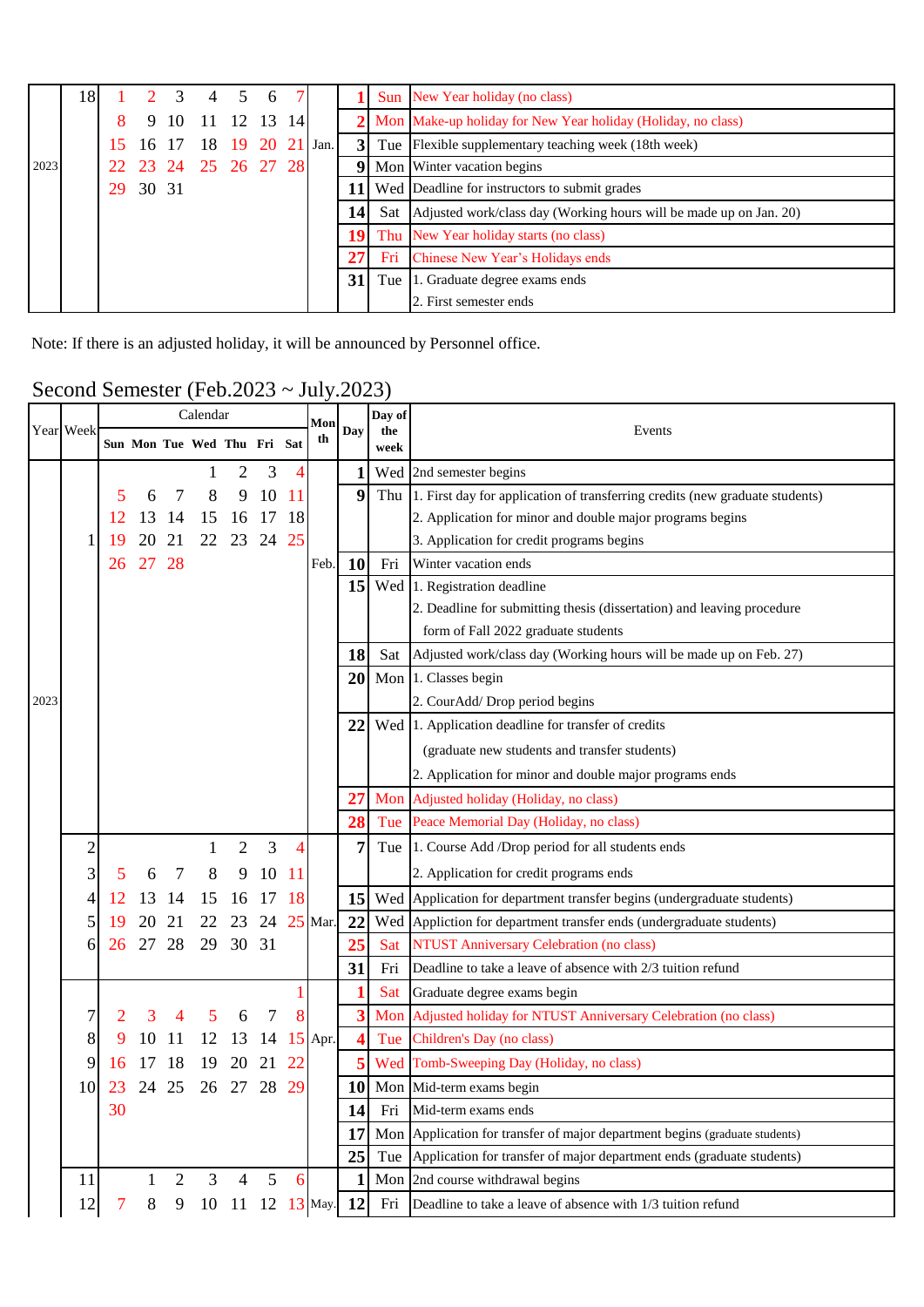|      | 18 |    |       |      | $1 \t2 \t3 \t4 \t5$    | 6 |    |                 | Sun New Year holiday (no class)                                          |
|------|----|----|-------|------|------------------------|---|----|-----------------|--------------------------------------------------------------------------|
|      |    |    |       | 9 10 | 11 12 13               |   | 14 |                 | 2 Mon Make-up holiday for New Year holiday (Holiday, no class)           |
|      |    |    |       |      | 16 17 18 19 20 21 Jan. |   |    |                 | 3 Tue Flexible supplementary teaching week (18th week)                   |
| 2023 |    |    |       |      | 23 24 25 26 27 28      |   |    |                 | <b>Mon</b> Winter vacation begins                                        |
|      |    | 29 | 30 31 |      |                        |   |    | 11              | Wed Deadline for instructors to submit grades                            |
|      |    |    |       |      |                        |   |    | 14 <sup>l</sup> | Sat   Adjusted work/class day (Working hours will be made up on Jan. 20) |
|      |    |    |       |      |                        |   |    | 19              | Thu New Year holiday starts (no class)                                   |
|      |    |    |       |      |                        |   |    | 27 <sub>l</sub> | Fri Chinese New Year's Holidays ends                                     |
|      |    |    |       |      |                        |   |    | 31              | Tue 1. Graduate degree exams ends                                        |
|      |    |    |       |      |                        |   |    |                 | 2. First semester ends                                                   |

Note: If there is an adjusted holiday, it will be announced by Personnel office.

## Second Semester (Feb.2023 ~ July.2023)

|      |                |    |              |                | Calendar                    |                |    |               | Mon<br>th        |     | Day of      |                                                                                  |
|------|----------------|----|--------------|----------------|-----------------------------|----------------|----|---------------|------------------|-----|-------------|----------------------------------------------------------------------------------|
|      | Year Week      |    |              |                | Sun Mon Tue Wed Thu Fri Sat |                |    |               |                  | Day | the<br>week | Events                                                                           |
|      |                |    |              |                |                             | 2              | 3  | 4             |                  | 1   |             | Wed 2nd semester begins                                                          |
|      |                | 5  | 6            | 7              | 8                           | 9              | 10 | <sup>11</sup> |                  | 9   |             | Thu 1. First day for application of transferring credits (new graduate students) |
|      |                |    |              | 14             | 15                          | 16             | 17 | 18            |                  |     |             | 2. Application for minor and double major programs begins                        |
|      |                |    |              | 21             | 22                          | 23             | 24 | 25            |                  |     |             | 3. Application for credit programs begins                                        |
|      |                | 26 | 27           | 28             |                             |                |    |               | Feb.             | 10  | Fri         | Winter vacation ends                                                             |
|      |                |    |              |                |                             |                |    |               |                  | 15  |             | Wed 1. Registration deadline                                                     |
|      |                |    |              |                |                             |                |    |               |                  |     |             | 2. Deadline for submitting thesis (dissertation) and leaving procedure           |
|      |                |    |              |                |                             |                |    |               |                  |     |             | form of Fall 2022 graduate students                                              |
|      |                |    |              |                |                             |                |    |               |                  | 18  |             | Sat Adjusted work/class day (Working hours will be made up on Feb. 27)           |
|      |                |    |              |                |                             |                |    |               |                  | 20  |             | Mon 1. Classes begin                                                             |
| 2023 |                |    |              |                |                             |                |    |               |                  |     |             | 2. CourAdd/Drop period begins                                                    |
|      |                |    |              |                |                             |                |    |               |                  | 22  |             | Wed 1. Application deadline for transfer of credits                              |
|      |                |    |              |                |                             |                |    |               |                  |     |             | (graduate new students and transfer students)                                    |
|      |                |    |              |                |                             |                |    |               |                  |     |             | 2. Application for minor and double major programs ends                          |
|      |                |    |              |                |                             |                |    |               |                  | 27  |             | Mon Adjusted holiday (Holiday, no class)                                         |
|      |                |    |              |                |                             |                |    |               |                  | 28  |             | Tue Peace Memorial Day (Holiday, no class)                                       |
|      | $\overline{c}$ |    |              |                |                             | $\overline{2}$ | 3  | 4             |                  | 7   |             | Tue 1. Course Add /Drop period for all students ends                             |
|      | 3              | 5  | 6            | 7              | 8                           | 9              | 10 | -11           |                  |     |             | 2. Application for credit programs ends                                          |
|      | 4              | 12 | 13           | 14             | 15                          | 16             | 17 | 18            |                  | 15  |             | Wed Application for department transfer begins (undergraduate students)          |
|      | 5              | 19 | 20           | 21             | 22                          | 23             | 24 |               | $25$ Mar.        | 22  |             | Wed Appliction for department transfer ends (undergraduate students)             |
|      | 6              | 26 | 27           | 28             | 29                          | 30             | 31 |               |                  | 25  | Sat         | NTUST Anniversary Celebration (no class)                                         |
|      |                |    |              |                |                             |                |    |               |                  | 31  | Fri         | Deadline to take a leave of absence with 2/3 tuition refund                      |
|      |                |    |              |                |                             |                |    |               |                  |     | Sat         | Graduate degree exams begin                                                      |
|      | 7              |    |              |                |                             | 6              | 7  |               |                  | 3   | Mon         | Adjusted holiday for NTUST Anniversary Celebration (no class)                    |
|      | 8              |    | 10           | 11             | 12                          | 13             | 14 | 15            | Apr.             | 4   | Tue         | Children's Day (no class)                                                        |
|      | 9              |    |              | 18             | 19                          | 20             | 21 | 22            |                  |     |             | Wed Tomb-Sweeping Day (Holiday, no class)                                        |
|      | 10             | 23 | 24           | 25             | 26                          | 27             | 28 | 29            |                  | 10  |             | Mon Mid-term exams begin                                                         |
|      |                | 30 |              |                |                             |                |    |               |                  | 14  | Fri         | Mid-term exams ends                                                              |
|      |                |    |              |                |                             |                |    |               |                  | 17  |             | Mon Application for transfer of major department begins (graduate students)      |
|      |                |    |              |                |                             |                |    |               |                  | 25  |             | Tue Application for transfer of major department ends (graduate students)        |
|      | 11             |    | $\mathbf{1}$ | $\overline{2}$ | $\overline{3}$              | $\overline{4}$ | 5  | 6             |                  | 1   |             | Mon 2nd course withdrawal begins                                                 |
|      | 12             | 7  | $8\,$        | 9              |                             |                |    |               | 10 11 12 13 May. | 12  | Fri         | Deadline to take a leave of absence with 1/3 tuition refund                      |